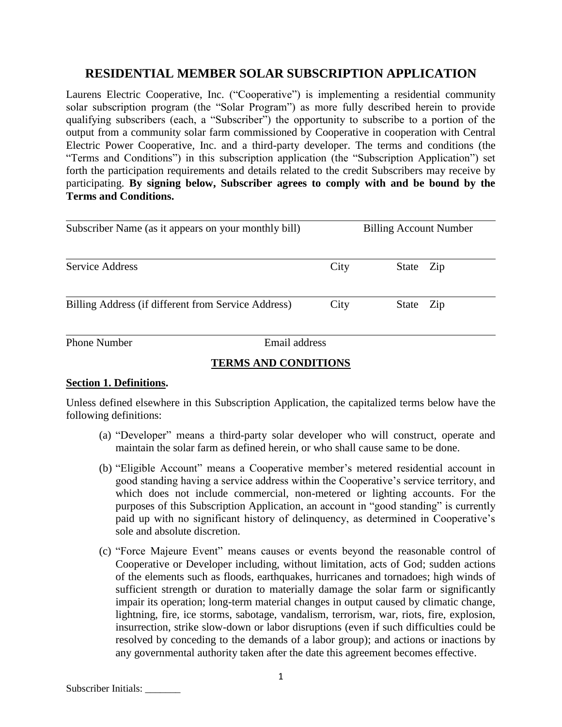# **RESIDENTIAL MEMBER SOLAR SUBSCRIPTION APPLICATION**

Laurens Electric Cooperative, Inc. ("Cooperative") is implementing a residential community solar subscription program (the "Solar Program") as more fully described herein to provide qualifying subscribers (each, a "Subscriber") the opportunity to subscribe to a portion of the output from a community solar farm commissioned by Cooperative in cooperation with Central Electric Power Cooperative, Inc. and a third-party developer. The terms and conditions (the "Terms and Conditions") in this subscription application (the "Subscription Application") set forth the participation requirements and details related to the credit Subscribers may receive by participating. **By signing below, Subscriber agrees to comply with and be bound by the Terms and Conditions.**

| Subscriber Name (as it appears on your monthly bill) |      | <b>Billing Account Number</b> |  |
|------------------------------------------------------|------|-------------------------------|--|
| Service Address                                      | City | State<br>Zip                  |  |
| Billing Address (if different from Service Address)  | City | State Zip                     |  |
| <b>Phone Number</b><br>Email address                 |      |                               |  |

# **TERMS AND CONDITIONS**

# **Section 1. Definitions.**

Unless defined elsewhere in this Subscription Application, the capitalized terms below have the following definitions:

- (a) "Developer" means a third-party solar developer who will construct, operate and maintain the solar farm as defined herein, or who shall cause same to be done.
- (b) "Eligible Account" means a Cooperative member's metered residential account in good standing having a service address within the Cooperative's service territory, and which does not include commercial, non-metered or lighting accounts. For the purposes of this Subscription Application, an account in "good standing" is currently paid up with no significant history of delinquency, as determined in Cooperative's sole and absolute discretion.
- (c) "Force Majeure Event" means causes or events beyond the reasonable control of Cooperative or Developer including, without limitation, acts of God; sudden actions of the elements such as floods, earthquakes, hurricanes and tornadoes; high winds of sufficient strength or duration to materially damage the solar farm or significantly impair its operation; long-term material changes in output caused by climatic change, lightning, fire, ice storms, sabotage, vandalism, terrorism, war, riots, fire, explosion, insurrection, strike slow-down or labor disruptions (even if such difficulties could be resolved by conceding to the demands of a labor group); and actions or inactions by any governmental authority taken after the date this agreement becomes effective.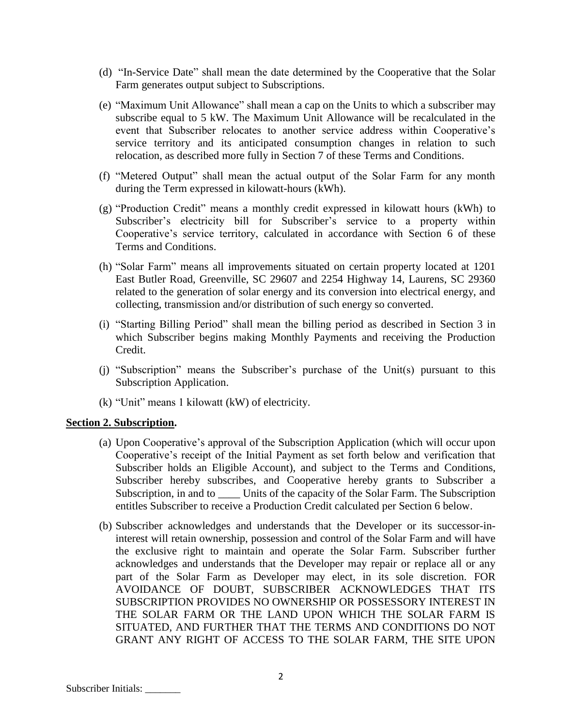- (d) "In-Service Date" shall mean the date determined by the Cooperative that the Solar Farm generates output subject to Subscriptions.
- (e) "Maximum Unit Allowance" shall mean a cap on the Units to which a subscriber may subscribe equal to 5 kW. The Maximum Unit Allowance will be recalculated in the event that Subscriber relocates to another service address within Cooperative's service territory and its anticipated consumption changes in relation to such relocation, as described more fully in Section 7 of these Terms and Conditions.
- (f) "Metered Output" shall mean the actual output of the Solar Farm for any month during the Term expressed in kilowatt-hours (kWh).
- (g) "Production Credit" means a monthly credit expressed in kilowatt hours (kWh) to Subscriber's electricity bill for Subscriber's service to a property within Cooperative's service territory, calculated in accordance with Section 6 of these Terms and Conditions.
- (h) "Solar Farm" means all improvements situated on certain property located at 1201 East Butler Road, Greenville, SC 29607 and 2254 Highway 14, Laurens, SC 29360 related to the generation of solar energy and its conversion into electrical energy, and collecting, transmission and/or distribution of such energy so converted.
- (i) "Starting Billing Period" shall mean the billing period as described in Section 3 in which Subscriber begins making Monthly Payments and receiving the Production Credit.
- (j) "Subscription" means the Subscriber's purchase of the Unit(s) pursuant to this Subscription Application.
- (k) "Unit" means 1 kilowatt (kW) of electricity.

### **Section 2. Subscription.**

- (a) Upon Cooperative's approval of the Subscription Application (which will occur upon Cooperative's receipt of the Initial Payment as set forth below and verification that Subscriber holds an Eligible Account), and subject to the Terms and Conditions, Subscriber hereby subscribes, and Cooperative hereby grants to Subscriber a Subscription, in and to Units of the capacity of the Solar Farm. The Subscription entitles Subscriber to receive a Production Credit calculated per Section 6 below.
- (b) Subscriber acknowledges and understands that the Developer or its successor-ininterest will retain ownership, possession and control of the Solar Farm and will have the exclusive right to maintain and operate the Solar Farm. Subscriber further acknowledges and understands that the Developer may repair or replace all or any part of the Solar Farm as Developer may elect, in its sole discretion. FOR AVOIDANCE OF DOUBT, SUBSCRIBER ACKNOWLEDGES THAT ITS SUBSCRIPTION PROVIDES NO OWNERSHIP OR POSSESSORY INTEREST IN THE SOLAR FARM OR THE LAND UPON WHICH THE SOLAR FARM IS SITUATED, AND FURTHER THAT THE TERMS AND CONDITIONS DO NOT GRANT ANY RIGHT OF ACCESS TO THE SOLAR FARM, THE SITE UPON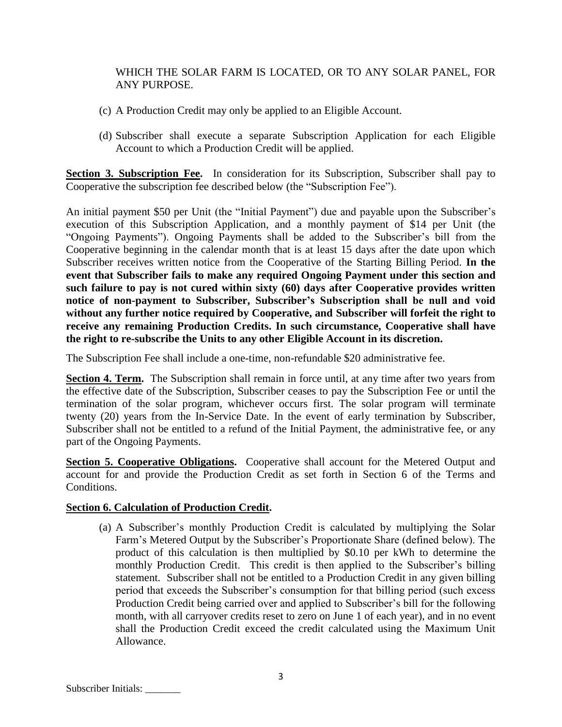# WHICH THE SOLAR FARM IS LOCATED, OR TO ANY SOLAR PANEL, FOR ANY PURPOSE.

- (c) A Production Credit may only be applied to an Eligible Account.
- (d) Subscriber shall execute a separate Subscription Application for each Eligible Account to which a Production Credit will be applied.

**Section 3. Subscription Fee.** In consideration for its Subscription, Subscriber shall pay to Cooperative the subscription fee described below (the "Subscription Fee").

An initial payment \$50 per Unit (the "Initial Payment") due and payable upon the Subscriber's execution of this Subscription Application, and a monthly payment of \$14 per Unit (the "Ongoing Payments"). Ongoing Payments shall be added to the Subscriber's bill from the Cooperative beginning in the calendar month that is at least 15 days after the date upon which Subscriber receives written notice from the Cooperative of the Starting Billing Period. **In the event that Subscriber fails to make any required Ongoing Payment under this section and such failure to pay is not cured within sixty (60) days after Cooperative provides written notice of non-payment to Subscriber, Subscriber's Subscription shall be null and void without any further notice required by Cooperative, and Subscriber will forfeit the right to receive any remaining Production Credits. In such circumstance, Cooperative shall have the right to re-subscribe the Units to any other Eligible Account in its discretion.**

The Subscription Fee shall include a one-time, non-refundable \$20 administrative fee.

**Section 4. Term.** The Subscription shall remain in force until, at any time after two years from the effective date of the Subscription, Subscriber ceases to pay the Subscription Fee or until the termination of the solar program, whichever occurs first. The solar program will terminate twenty (20) years from the In-Service Date. In the event of early termination by Subscriber, Subscriber shall not be entitled to a refund of the Initial Payment, the administrative fee, or any part of the Ongoing Payments.

**Section 5. Cooperative Obligations.** Cooperative shall account for the Metered Output and account for and provide the Production Credit as set forth in Section 6 of the Terms and Conditions.

# **Section 6. Calculation of Production Credit.**

(a) A Subscriber's monthly Production Credit is calculated by multiplying the Solar Farm's Metered Output by the Subscriber's Proportionate Share (defined below). The product of this calculation is then multiplied by \$0.10 per kWh to determine the monthly Production Credit. This credit is then applied to the Subscriber's billing statement. Subscriber shall not be entitled to a Production Credit in any given billing period that exceeds the Subscriber's consumption for that billing period (such excess Production Credit being carried over and applied to Subscriber's bill for the following month, with all carryover credits reset to zero on June 1 of each year), and in no event shall the Production Credit exceed the credit calculated using the Maximum Unit Allowance.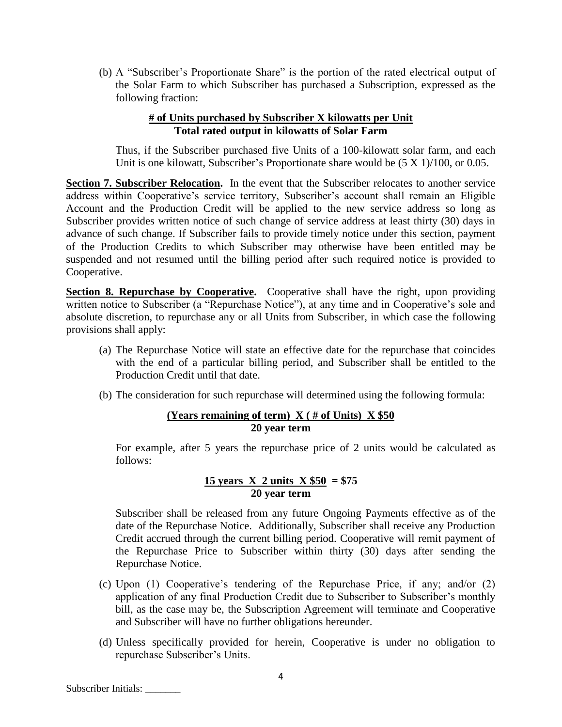(b) A "Subscriber's Proportionate Share" is the portion of the rated electrical output of the Solar Farm to which Subscriber has purchased a Subscription, expressed as the following fraction:

#### **# of Units purchased by Subscriber X kilowatts per Unit Total rated output in kilowatts of Solar Farm**

Thus, if the Subscriber purchased five Units of a 100-kilowatt solar farm, and each Unit is one kilowatt, Subscriber's Proportionate share would be (5 X 1)/100, or 0.05.

**Section 7. Subscriber Relocation.** In the event that the Subscriber relocates to another service address within Cooperative's service territory, Subscriber's account shall remain an Eligible Account and the Production Credit will be applied to the new service address so long as Subscriber provides written notice of such change of service address at least thirty (30) days in advance of such change. If Subscriber fails to provide timely notice under this section, payment of the Production Credits to which Subscriber may otherwise have been entitled may be suspended and not resumed until the billing period after such required notice is provided to Cooperative.

**Section 8. Repurchase by Cooperative.** Cooperative shall have the right, upon providing written notice to Subscriber (a "Repurchase Notice"), at any time and in Cooperative's sole and absolute discretion, to repurchase any or all Units from Subscriber, in which case the following provisions shall apply:

- (a) The Repurchase Notice will state an effective date for the repurchase that coincides with the end of a particular billing period, and Subscriber shall be entitled to the Production Credit until that date.
- (b) The consideration for such repurchase will determined using the following formula:

## **(Years remaining of term) X ( # of Units) X \$50 20 year term**

For example, after 5 years the repurchase price of 2 units would be calculated as follows:

# **<u>15 years X 2 units X \$50</u> = \$75 20 year term**

Subscriber shall be released from any future Ongoing Payments effective as of the date of the Repurchase Notice. Additionally, Subscriber shall receive any Production Credit accrued through the current billing period. Cooperative will remit payment of the Repurchase Price to Subscriber within thirty (30) days after sending the Repurchase Notice.

- (c) Upon (1) Cooperative's tendering of the Repurchase Price, if any; and/or (2) application of any final Production Credit due to Subscriber to Subscriber's monthly bill, as the case may be, the Subscription Agreement will terminate and Cooperative and Subscriber will have no further obligations hereunder.
- (d) Unless specifically provided for herein, Cooperative is under no obligation to repurchase Subscriber's Units.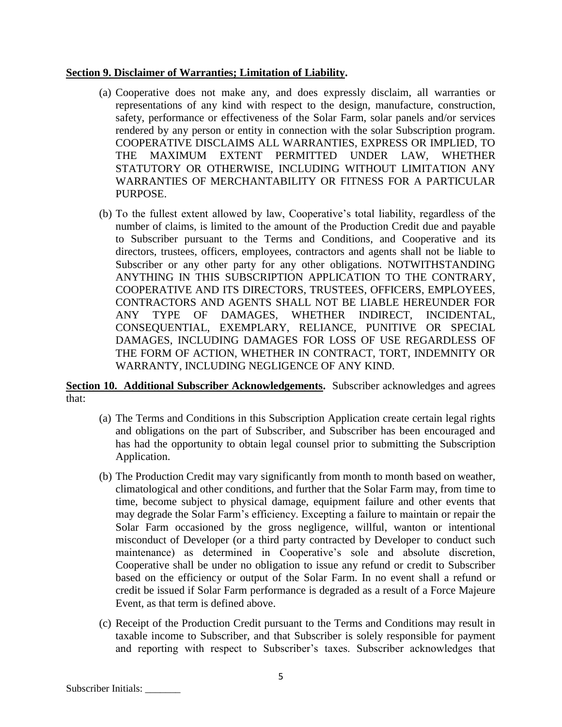### **Section 9. Disclaimer of Warranties; Limitation of Liability.**

- (a) Cooperative does not make any, and does expressly disclaim, all warranties or representations of any kind with respect to the design, manufacture, construction, safety, performance or effectiveness of the Solar Farm, solar panels and/or services rendered by any person or entity in connection with the solar Subscription program. COOPERATIVE DISCLAIMS ALL WARRANTIES, EXPRESS OR IMPLIED, TO THE MAXIMUM EXTENT PERMITTED UNDER LAW, WHETHER STATUTORY OR OTHERWISE, INCLUDING WITHOUT LIMITATION ANY WARRANTIES OF MERCHANTABILITY OR FITNESS FOR A PARTICULAR PURPOSE.
- (b) To the fullest extent allowed by law, Cooperative's total liability, regardless of the number of claims, is limited to the amount of the Production Credit due and payable to Subscriber pursuant to the Terms and Conditions, and Cooperative and its directors, trustees, officers, employees, contractors and agents shall not be liable to Subscriber or any other party for any other obligations. NOTWITHSTANDING ANYTHING IN THIS SUBSCRIPTION APPLICATION TO THE CONTRARY, COOPERATIVE AND ITS DIRECTORS, TRUSTEES, OFFICERS, EMPLOYEES, CONTRACTORS AND AGENTS SHALL NOT BE LIABLE HEREUNDER FOR ANY TYPE OF DAMAGES, WHETHER INDIRECT, INCIDENTAL, CONSEQUENTIAL, EXEMPLARY, RELIANCE, PUNITIVE OR SPECIAL DAMAGES, INCLUDING DAMAGES FOR LOSS OF USE REGARDLESS OF THE FORM OF ACTION, WHETHER IN CONTRACT, TORT, INDEMNITY OR WARRANTY, INCLUDING NEGLIGENCE OF ANY KIND.

## **Section 10. Additional Subscriber Acknowledgements.** Subscriber acknowledges and agrees that:

- (a) The Terms and Conditions in this Subscription Application create certain legal rights and obligations on the part of Subscriber, and Subscriber has been encouraged and has had the opportunity to obtain legal counsel prior to submitting the Subscription Application.
- (b) The Production Credit may vary significantly from month to month based on weather, climatological and other conditions, and further that the Solar Farm may, from time to time, become subject to physical damage, equipment failure and other events that may degrade the Solar Farm's efficiency. Excepting a failure to maintain or repair the Solar Farm occasioned by the gross negligence, willful, wanton or intentional misconduct of Developer (or a third party contracted by Developer to conduct such maintenance) as determined in Cooperative's sole and absolute discretion, Cooperative shall be under no obligation to issue any refund or credit to Subscriber based on the efficiency or output of the Solar Farm. In no event shall a refund or credit be issued if Solar Farm performance is degraded as a result of a Force Majeure Event, as that term is defined above.
- (c) Receipt of the Production Credit pursuant to the Terms and Conditions may result in taxable income to Subscriber, and that Subscriber is solely responsible for payment and reporting with respect to Subscriber's taxes. Subscriber acknowledges that

Subscriber Initials: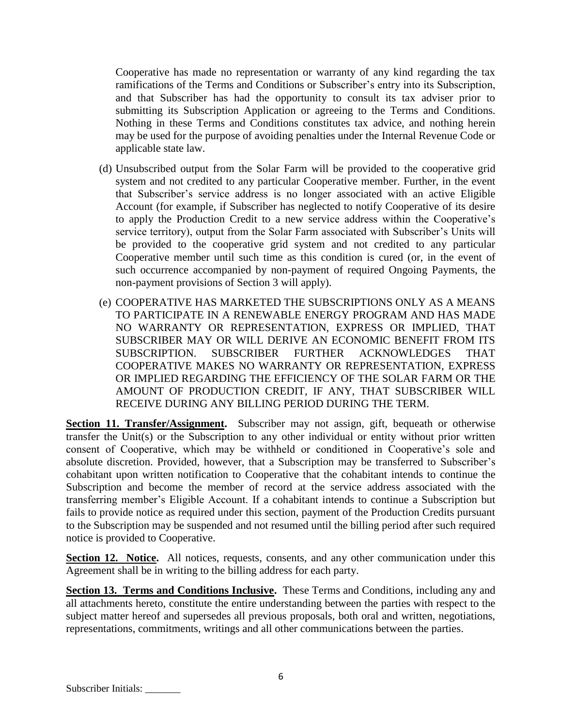Cooperative has made no representation or warranty of any kind regarding the tax ramifications of the Terms and Conditions or Subscriber's entry into its Subscription, and that Subscriber has had the opportunity to consult its tax adviser prior to submitting its Subscription Application or agreeing to the Terms and Conditions. Nothing in these Terms and Conditions constitutes tax advice, and nothing herein may be used for the purpose of avoiding penalties under the Internal Revenue Code or applicable state law.

- (d) Unsubscribed output from the Solar Farm will be provided to the cooperative grid system and not credited to any particular Cooperative member. Further, in the event that Subscriber's service address is no longer associated with an active Eligible Account (for example, if Subscriber has neglected to notify Cooperative of its desire to apply the Production Credit to a new service address within the Cooperative's service territory), output from the Solar Farm associated with Subscriber's Units will be provided to the cooperative grid system and not credited to any particular Cooperative member until such time as this condition is cured (or, in the event of such occurrence accompanied by non-payment of required Ongoing Payments, the non-payment provisions of Section 3 will apply).
- (e) COOPERATIVE HAS MARKETED THE SUBSCRIPTIONS ONLY AS A MEANS TO PARTICIPATE IN A RENEWABLE ENERGY PROGRAM AND HAS MADE NO WARRANTY OR REPRESENTATION, EXPRESS OR IMPLIED, THAT SUBSCRIBER MAY OR WILL DERIVE AN ECONOMIC BENEFIT FROM ITS SUBSCRIPTION. SUBSCRIBER FURTHER ACKNOWLEDGES THAT COOPERATIVE MAKES NO WARRANTY OR REPRESENTATION, EXPRESS OR IMPLIED REGARDING THE EFFICIENCY OF THE SOLAR FARM OR THE AMOUNT OF PRODUCTION CREDIT, IF ANY, THAT SUBSCRIBER WILL RECEIVE DURING ANY BILLING PERIOD DURING THE TERM.

**Section 11. Transfer/Assignment.** Subscriber may not assign, gift, bequeath or otherwise transfer the Unit(s) or the Subscription to any other individual or entity without prior written consent of Cooperative, which may be withheld or conditioned in Cooperative's sole and absolute discretion. Provided, however, that a Subscription may be transferred to Subscriber's cohabitant upon written notification to Cooperative that the cohabitant intends to continue the Subscription and become the member of record at the service address associated with the transferring member's Eligible Account. If a cohabitant intends to continue a Subscription but fails to provide notice as required under this section, payment of the Production Credits pursuant to the Subscription may be suspended and not resumed until the billing period after such required notice is provided to Cooperative.

Section 12. Notice. All notices, requests, consents, and any other communication under this Agreement shall be in writing to the billing address for each party.

**Section 13. Terms and Conditions Inclusive.** These Terms and Conditions, including any and all attachments hereto, constitute the entire understanding between the parties with respect to the subject matter hereof and supersedes all previous proposals, both oral and written, negotiations, representations, commitments, writings and all other communications between the parties.